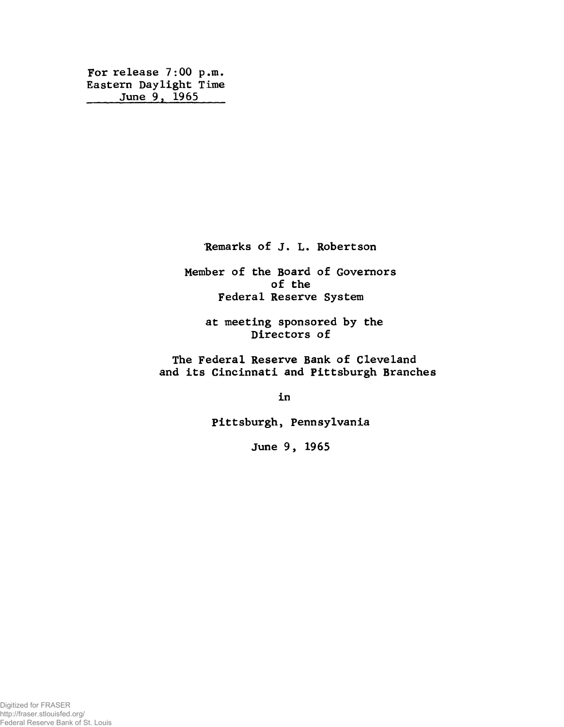**For release 7:00 p.m. Eastern Daylight Time \_\_\_\_ June 9, 1965\_\_\_\_**

**Remarks of J. L. Robertson**

**Member of the Board of Governors of the Federal Reserve System**

**at meeting sponsored by the Directors of**

**The Federal Reserve Bank of Cleveland and its Cincinnati and Pittsburgh Branches**

**in**

**Pittsburgh, Pennsylvania**

**June 9, 1965**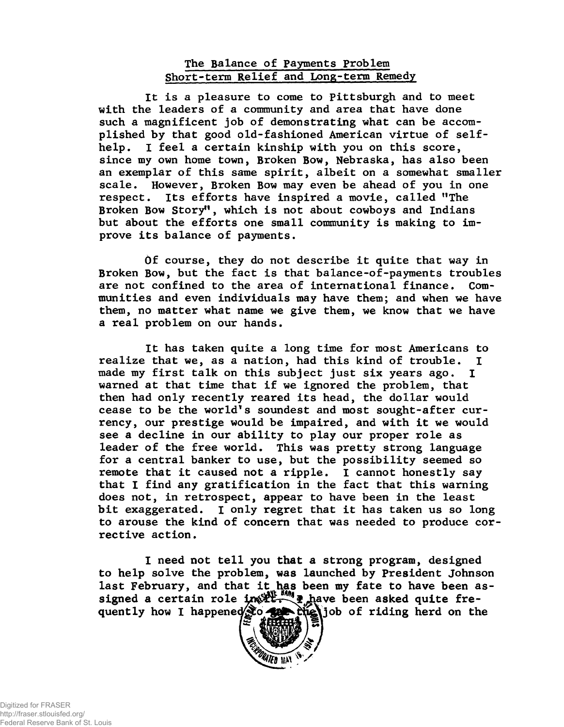## **The Balance of Payments Problem Short-term Relief and Long-term Remedy**

**It is a pleasure to come to Pittsburgh and to meet with the leaders of a community and area that have done such a magnificent job of demonstrating what can be accomplished by that good old-fashioned American virtue of selfhelp. I feel a certain kinship with you on this score, since my own home town, Broken Bow, Nebraska, has also been an exemplar of this same spirit, albeit on a somewhat smaller scale. However, Broken Bow may even be ahead of you in one respect. Its efforts have inspired a movie, called ''The Broken Bow Story" , which is not about cowboys and Indians but about the efforts one small community is making to improve its balance of payments.**

**Of course, they do not describe it quite that way in Broken Bow, but the fact is that balance-of-payments troubles are not confined to the area of international finance. Communities and even individuals may have them; and when we have them, no matter what name we give them, we know that we have a real problem on our hands.**

**It has taken quite a long time for most Americans to realize that we, as a nation, had this kind of trouble. I made my first talk on this subject just six years ago. I warned at that time that if we ignored the problem, that then had only recently reared its head, the dollar would cease to be the world's soundest and most sought-after currency, our prestige would be impaired, and with it we would see a decline in our ability to play our proper role as leader of the free world. This was pretty strong language for a central banker to use, but the possibility seemed so remote that it caused not a ripple. I cannot honestly say that I find any gratification in the fact that this warning does not, in retrospect, appear to have been in the least bit exaggerated. I only regret that it has taken us so long to arouse the kind of concern that was needed to produce corrective action.**

**I need not tell you that a strong program, designed to help solve the problem, was launched by President Johnson** last February, and that it has been my fate to have been assigned a certain role in the playe been asked quite fre**quently how I happene job of riding herd on the**

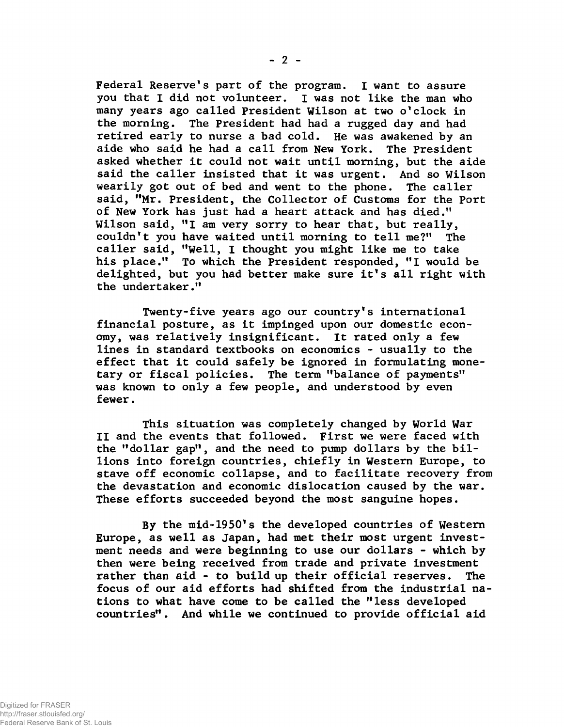**Federal Reserve's part of the program. I want to assure you that I did not volunteer. I was not like the man who many years ago called President Wilson at two o'clock in the morning. The President had had a rugged day and had retired early to nurse a bad cold. He was awakened by an aide who said he had a call from New York. The President asked whether it could not wait until morning, but the aide said the caller insisted that it was urgent. And so Wilson wearily got out of bed and went to the phone. The caller said, "Mr. President, the Collector of Customs for the Port of New York has just had a heart attack and has died.11 Wilson said, "I am very sorry to hear that, but really, couldn't you have waited until morning to tell me?" The caller said, "Well, I thought you might like me to take his place." To which the President responded, "I would be delighted, but you had better make sure it's all right with the undertaker."**

**Twenty-five years ago our country's international financial posture, as it impinged upon our domestic economy, was relatively insignificant. It rated only a few lines in standard textbooks on economics - usually to the effect that it could safely be ignored in formulating monetary or fiscal policies. The term "balance of payments" was known to only a few people, and understood by even fewer.**

**This situation was completely changed by World War II and the events that followed. First we were faced with the "dollar gap", and the need to pump dollars by the billions into foreign countries, chiefly in Western Europe, to stave off economic collapse, and to facilitate recovery from the devastation and economic dislocation caused by the war. These efforts succeeded beyond the most sanguine hopes.**

**By the mid-1950's the developed countries of Western Europe, as well as Japan, had met their most urgent investment needs and were beginning to use our dollars - which by then were being received from trade and private investment rather than aid - to buildup their official reserves. The focus of our aid efforts had shifted from the industrial nations to what have come to be called the "less developed countries" . And while we continued to provide official aid**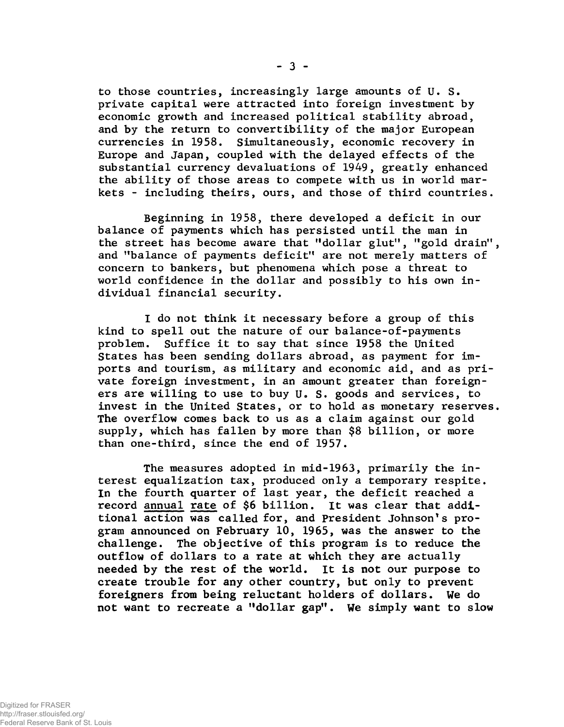**to those countries, increasingly large amounts of U. S. private capital were attracted into foreign investment by economic growth and increased political stability abroad, and by the return to convertibility of the major European currencies in 1958. Simultaneously, economic recovery in Europe and Japan, coupled with the delayed effects of the substantial currency devaluations of 1949, greatly enhanced the ability of those areas to compete with us in world markets - including theirs, ours, and those of third countries.**

**Beginning in 1958, there developed a deficit in our balance of payments which has persisted until the man in the street has become aware that "dollar glut", "gold drain", and "balance of payments deficit" are not merely matters of concern to bankers, but phenomena which pose a threat to world confidence in the dollar and possibly to his own individual financial security.**

**I do not think it necessary before a group of this kind to spell out the nature of our balance-of-payments problem. Suffice it to say that since 1958 the United States has been sending dollars abroad, as payment for imports and tourism, as military and economic aid, and as private foreign investment, in an amount greater than foreigners are willing to use to buy U. S. goods and services, to invest in the United States, or to hold as monetary reserves. The overflow comes back to us as a claim against our gold supply, which has fallen by more than \$8 billion, or more than one-third, since the end of 1957.**

**The measures adopted in mid-1963, primarily the interest equalization tax, produced only a temporary respite. In the fourth quarter of last year, the deficit reached a record annual rate of \$6 billion. It was clear that additional action was called for, and President Johnson's program announced on February 10, 1965, was the answer to the challenge. The objective of this program is to reduce the outflow of dollars to a rate at which they are actually needed by the rest of the world. It is not our purpose to create trouble for any other country, but only to prevent foreigners from being reluctant holders of dollars. We do not want to recreate a "dollar gap". We simply want to slow**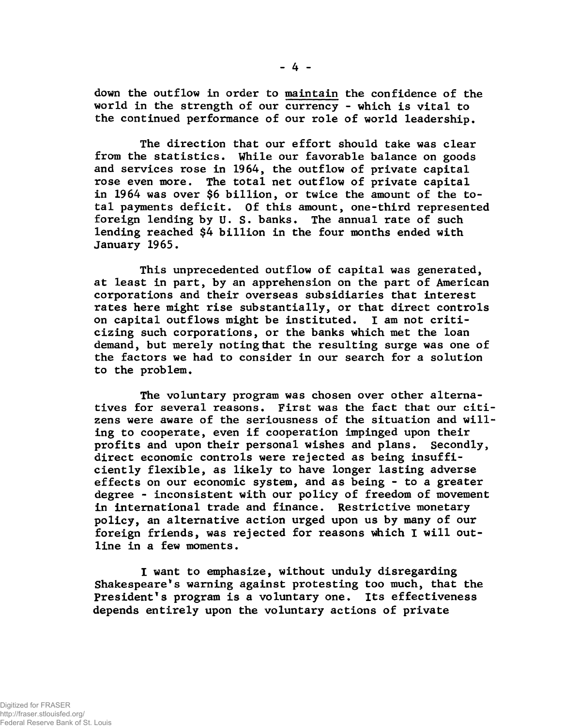**down the outflow in order to maintain the confidence of the world in the strength of our currency - which is vital to the continued performance of our role of world leadership.**

**The direction that our effort should take was clear from the statistics. While our favorable balance on goods and services rose in 1964, the outflow of private capital rose even more. The total net outflow of private capital in 1964 was over \$6 billion, or twice the amount of the total payments deficit. Of this amount, one-third represented foreign lending by U. S. banks. The annual rate of such lending reached \$4 billion in the four months ended with January 1965.**

**This unprecedented outflow of capital was generated, at least in part, by an apprehension on the part of American corporations and their overseas subsidiaries that interest rates here might rise substantially, or that direct controls on capital outflows might be instituted. I am not criticizing such corporations, or the banks which met the loan demand, but merely noting that the resulting surge was one of the factors we had to consider in our search for a solution to the problem.**

**The voluntary program was chosen over other alternatives for several reasons. First was the fact that our citizens were aware of the seriousness of the situation and willing to cooperate, even if cooperation impinged upon their profits and upon their personal wishes and plans. Secondly, direct economic controls were rejected as being insufficiently flexible, as likely to have longer lasting adverse effects on our economic system, and as being - to a greater degree - inconsistent with our policy of freedom of movement in international trade and finance. Restrictive monetary policy, an alternative action urged upon us by many of our foreign friends, was rejected for reasons which I will outline in a few moments.**

**I want to emphasize, without unduly disregarding Shakespeare's warning against protesting too much, that the President's program is a voluntary one. Its effectiveness depends entirely upon the voluntary actions of private**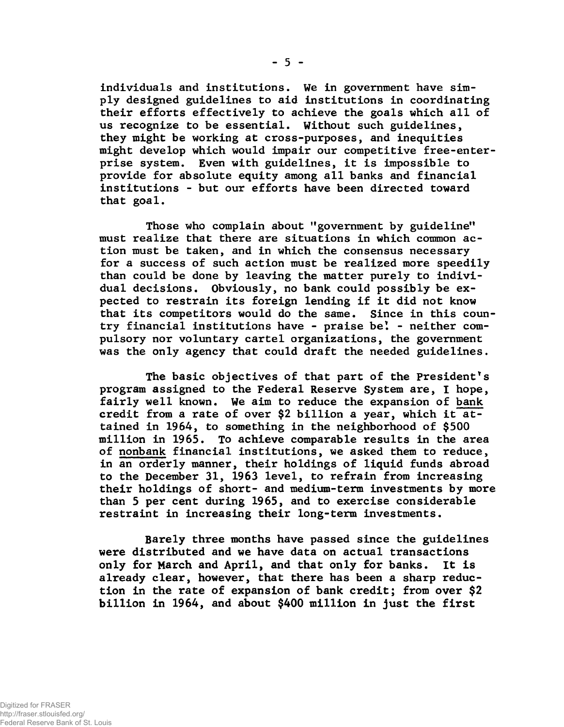**individuals and institutions. We in government have simply designed guidelines to aid institutions in coordinating their efforts effectively to achieve the goals which all of us recognize to be essential. Without such guidelines, they might be working at cross-purposes, and inequities might develop which would impair our competitive free-enterprise system. Even with guidelines, it is impossible to provide for absolute equity among all banks and financial institutions - but our efforts have been directed toward that goal.**

**Those who complain about "government by guideline" must realize that there are situations in which common action must be taken, and in which the consensus necessary for a success of such action must be realized more speedily than could be done by leaving the matter purely to individual decisions. Obviously, no bank could possibly be expected to restrain its foreign lending if it did not know that its competitors would do the same. Since in this country financial institutions have - praise be! - neither compulsory nor voluntary cartel organizations, the government was the only agency that could draft the needed guidelines.**

**The basic objectives of that part of the President's program assigned to the Federal Reserve System are, I hope, fairly well known. We aim to reduce the expansion of bank credit from a rate of over \$2 billion a year, which it attained in 1964, to something in the neighborhood of \$500 million in 1965. To achieve comparable results in the area of nonbank financial institutions, we asked them to reduce, in an orderly manner, their holdings of liquid funds abroad to the December 31, 1963 level, to refrain from increasing their holdings of short- and medium-term investments by more than 5 per cent during 1965, and to exercise considerable restraint in increasing their long-term investments.**

**Barely three months have passed since the guidelines were distributed and we have data on actual transactions only for March and April, and that only for banks. It is already clear, however, that there has been a sharp reduction in the rate of expansion of bank credit; from over \$2 billion in 1964, and about \$400 million in just the first**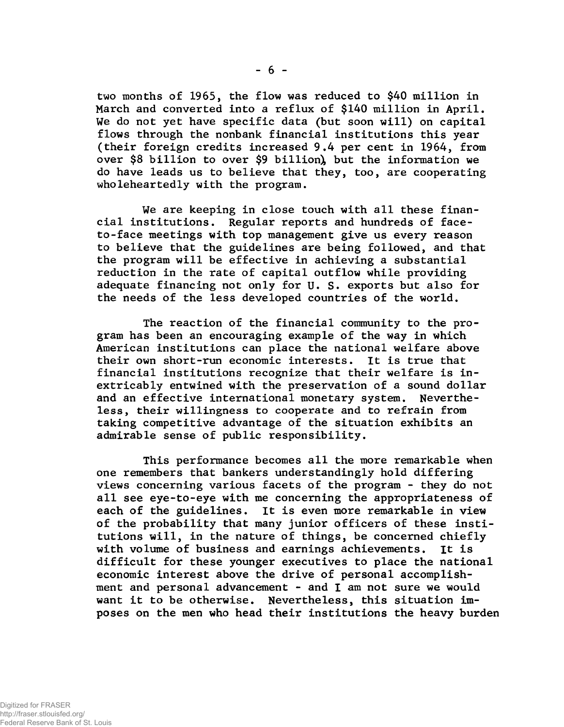**two months of 1965, the flow was reduced to \$40 million in March and converted into a reflux of \$140 million in April. We do not yet have specific data (but soon will) on capital flows through the nonbank financial institutions this year (their foreign credits increased 9.4 per cent in 1964, from over \$8 billion to over \$9 billion^ but the information we do have leads us to believe that they, too, are cooperating wholeheartedly with the program.**

**We are keeping in close touch with all these financial institutions. Regular reports and hundreds of faceto-face meetings with top management give us every reason to believe that the guidelines are being followed, and that the program will be effective in achieving a substantial reduction in the rate of capital outflow while providing adequate financing not only for U. S. exports but also for the needs of the less developed countries of the world.**

**The reaction of the financial community to the program has been an encouraging example of the way in which American institutions can place the national welfare above their own short-run economic interests. It is true that financial institutions recognize that their welfare is inextricably entwined with the preservation of a sound dollar and an effective international monetary system. Nevertheless, their willingness to cooperate and to refrain from taking competitive advantage of the situation exhibits an admirable sense of public responsibility.**

**This performance becomes all the more remarkable when one remembers that bankers understandingly hold differing views concerning various facets of the program - they do not all see eye-to-eye with me concerning the appropriateness of each of the guidelines. It is even more remarkable in view of the probability that many junior officers of these institutions will, in the nature of things, be concerned chiefly with volume of business and earnings achievements. It is difficult for these younger executives to place the national economic interest above the drive of personal accomplishment and personal advancement - and I am not sure we would want it to be otherwise. Nevertheless, this situation imposes on the men who head their institutions the heavy burden**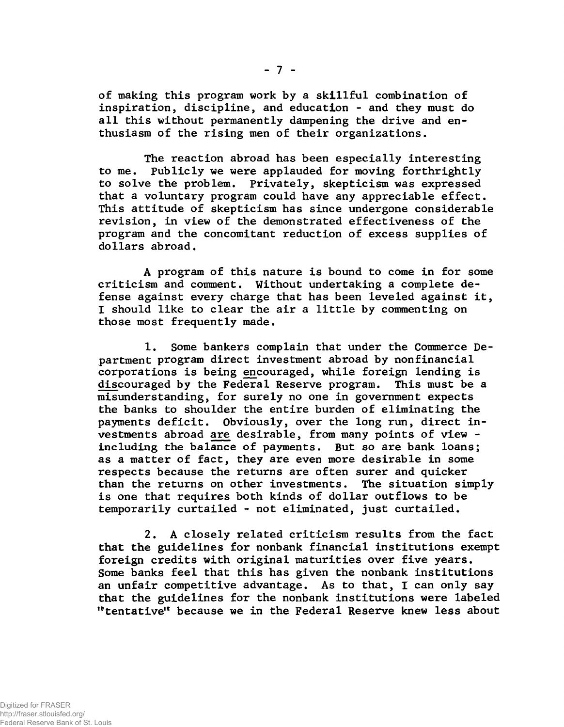**of making this program work by a skillful combination of inspiration, discipline, and education - and they must do all this without permanently dampening the drive and enthusiasm of the rising men of their organizations.**

**The reaction abroad has been especially interesting to me. Publicly we were applauded for moving forthrightly to solve the problem. Privately, skepticism was expressed that a voluntary program could have any appreciable effect. This attitude of skepticism has since undergone considerable revision, in view of the demonstrated effectiveness of the program and the concomitant reduction of excess supplies of dollars abroad.**

**A program of this nature is bound to come in for some criticism and comment. Without undertaking a complete defense against every charge that has been leveled against it, I should like to clear the air a little by commenting on those most frequently made.**

**1. Some bankers complain that under the Commerce Department program direct investment abroad by nonfinancial corporations is being encouraged, while foreign lending is discouraged by the Federal Reserve program. This must be a misunderstanding, for surely no one in government expects the banks to shoulder the entire burden of eliminating the payments deficit. Obviously, over the long run, direct investments abroad are desirable, from many points of view including the balance of payments. But so are bank loans; as a matter of fact, they are even more desirable in some respects because the returns are often surer and quicker than the returns on other investments. The situation simply is one that requires both kinds of dollar outflows to be temporarily curtailed - not eliminated, just curtailed.**

**2. A closely related criticism results from the fact that the guidelines for nonbank financial institutions exempt foreign credits with original maturities over five years. Some banks feel that this has given the nonbank institutions an unfair competitive advantage. As to that, I can only say that the guidelines for the nonbank institutions were labeled "tentative'\* because we in the Federal Reserve knew less about**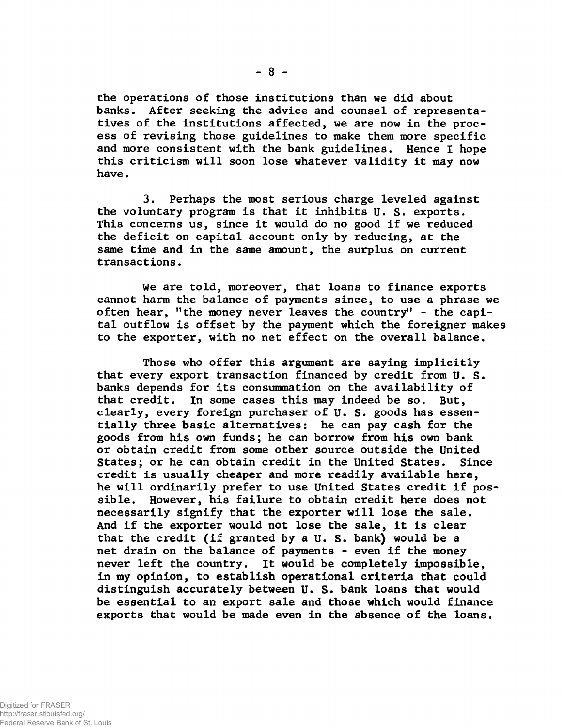**the operations of those institutions than we did about banks. After seeking the advice and counsel of representatives of the Institutions affected, we are now in the process of revising those guidelines to make them more specific and more consistent with the bank guidelines. Hence I hope this criticism will soon lose whatever validity it may now have.**

**3. Perhaps the most serious charge leveled against the voluntary program is that it inhibits U. S. exports. This concerns us, since it would do no good if we reduced the deficit on capital account only by reducing, at the same time and in the same amount, the surplus on current transactions.**

**We are told, moreover, that loans to finance exports cannot harm the balance of payments since, to use a phrase we often hear, "the money never leaves the country" - the capital outflow is offset by the payment which the foreigner makes to the exporter, with no net effect on the overall balance.**

**Those who offer this argument are saying implicitly that every export transaction financed by credit from U. S. banks depends for its consummation on the availability of that credit. In some cases this may indeed be so. But, clearly, every foreign purchaser of U. S. goods has essentially three basic alternatives: he can pay cash for the goods from his own funds; he can borrow from his own bank or obtain credit from some other source outside the United States; or he can obtain credit in the United States. Since credit is usually cheaper and more readily available here, he will ordinarily prefer to use United States credit if possible. However, his failure to obtain credit here does not necessarily signify that the exporter will lose the sale. And if the exporter would not lose the sale, it is clear that the credit (if granted by a U. S. bank) would be a net drain on the balance of payments - even if the money never left the country. It would be completely impossible, in my opinion, to establish operational criteria that could distinguish accurately between U. S. bank loans that would be essential to an export sale and those which would finance exports that would be made even in the absence of the loans.**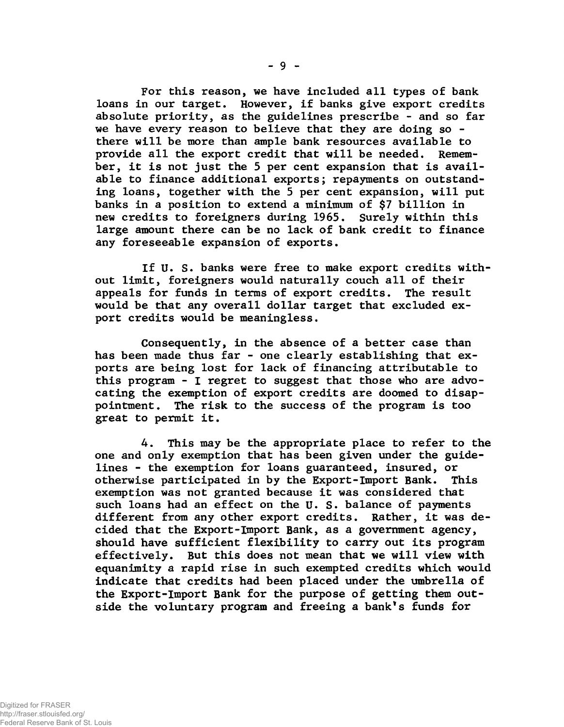**For this reason, we have included all types of bank loans in our target. However, if banks give export credits absolute priority, as the guidelines prescribe - and so far we have every reason to believe that they are doing so there will be more than ample bank resources available to provide all the export credit that will be needed. Remember, it is not just the 5 per cent expansion that is available to finance additional exports; repayments on outstanding loans, together with the 5 per cent expansion, will put banks in a position to extend a minimum of \$7 billion in new credits to foreigners during 1965. Surely within this large amount there can be no lack of bank credit to finance any foreseeable expansion of exports.**

**If U. S. banks were free to make export credits without limit, foreigners would naturally couch all of their appeals for funds in terms of export credits. The result would be that any overall dollar target that excluded export credits would be meaningless.**

**Consequently, in the absence of a better case than has been made thus far - one clearly establishing that exports are being lost for lack of financing attributable to this program - I regret to suggest that those who are advocating the exemption of export credits are doomed to disappointment. The risk to the success of the program is too great to permit it.**

**4. This may be the appropriate place to refer to the one and only exemption that has been given under the guidelines - the exemption for loans guaranteed, insured, or otherwise participated in by the Export-Import Bank. This exemption was not granted because it was considered that such loans had an effect on the U. S. balance of payments different from any other export credits. Rather, it was decided that the Export-Import Bank, as a government agency, should have sufficient flexibility to carry out its program effectively. But this does not mean that we will view with equanimity a rapid rise in such exempted credits which would indicate that credits had been placed under the umbrella of the Export-Import Bank for the purpose of getting them outside the voluntary program and freeing a bank's funds for**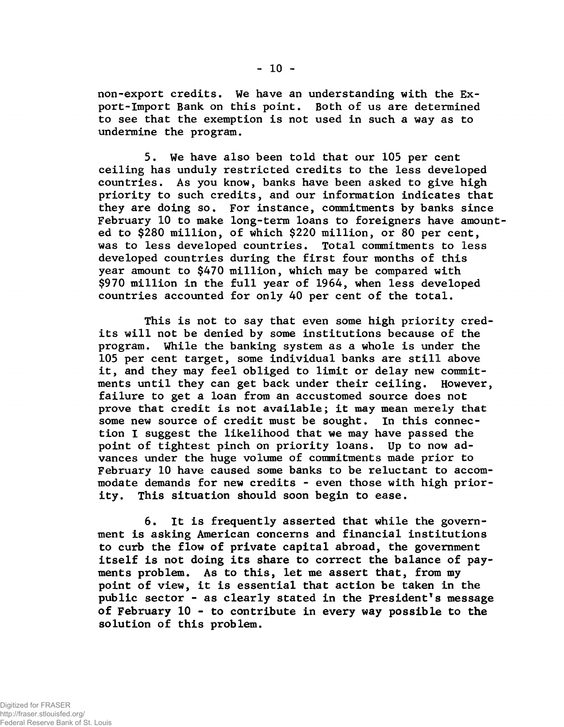**non-export credits. We have an understanding with the Export-Import Bank on this point. Both of us are determined to see that the exemption is not used in such a way as to undermine the program.**

**5. We have also been told that our 105 per cent ceiling has unduly restricted credits to the less developed countries. As you know, banks have been asked to give high priority to such credits, and our information indicates that they are doing so. For instance, commitments by banks since February 10 to make long-term loans to foreigners have amounted to \$280 million, of which \$220 million, or 80 per cent, was to less developed countries. Total commitments to less developed countries during the first four months of this year amount to \$470 million, which may be compared with \$970 million in the full year of 1964, when less developed countries accounted for only 40 per cent of the total.**

**This is not to say that even some high priority credits will not be denied by some institutions because of the program. While the banking system as a whole is under the 105 per cent target, some individual banks are still above it, and they may feel obliged to limit or delay new commitments until they can get back under their ceiling. However, failure to get a loan from an accustomed source does not prove that credit is not available; it may mean merely that some new source of credit must be sought. In this connection I suggest the likelihood that we may have passed the point of tightest pinch on priority loans. Up to now advances under the huge volume of commitments made prior to February 10 have caused some banks to be reluctant to accommodate demands for new credits - even those with high priority. This situation should soon begin to ease.**

**6. It is frequently asserted that while the government is asking American concerns and financial institutions to curb the flow of private capital abroad, the government itself is not doing its share to correct the balance of payments problem. As to this, let me assert that, from my point of view, it is essential that action be taken in the public sector - as clearly stated in the President's message of February 10 - to contribute in every way possible to the solution of this problem.**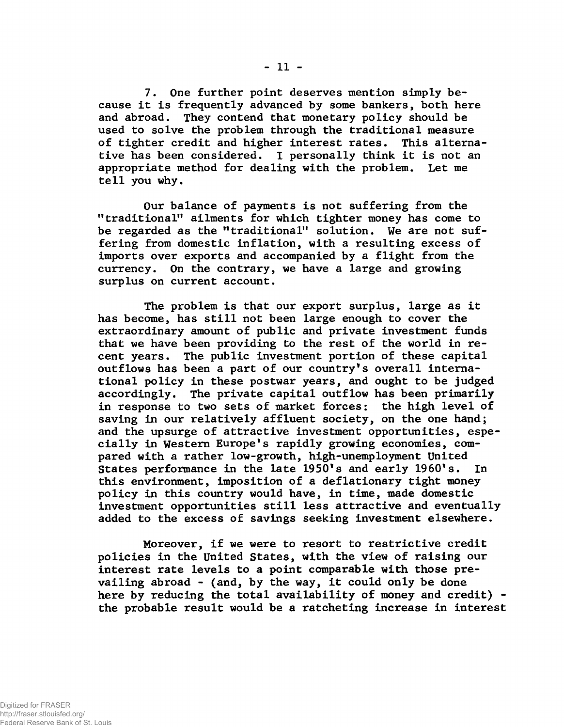**7. One further point deserves mention simply because it is frequently advanced by some bankers, both here and abroad. They contend that monetary policy should be used to solve the problem through the traditional measure of tighter credit and higher interest rates. This alternative has been considered. I personally think it is not an appropriate method for dealing with the problem. Let me tell you why.**

**Our balance of payments is not suffering from the "traditional" ailments for which tighter money has come to be regarded as the "traditional" solution. We are not suffering from domestic inflation, with a resulting excess of imports over exports and accompanied by a flight from the currency. On the contrary, we have a large and growing surplus on current account.**

**The problem is that our export surplus, large as it has become, has still not been large enough to cover the extraordinary amount of public and private investment funds that we have been providing to the rest of the world in recent years. The public investment portion of these capital outflows has been a part of our country's overall international policy in these postwar years, and ought to be judged accordingly. The private capital outflow has been primarily in response to two sets of market forces: the high level of saving in our relatively affluent society, on the one hand; and the upsurge of attractive investment opportunities, especially in Western Europe's rapidly growing economies, compared with a rather low-growth, high-unemployment United States performance in the late 1950's and early I960's. In this environment, imposition of a deflationary tight money policy in this country would have, in time, made domestic investment opportunities still less attractive and eventually added to the excess of savings seeking investment elsewhere.**

**Moreover, if we were to resort to restrictive credit policies in the United States, with the view of raising our interest rate levels to a point comparable with those prevailing abroad - (and, by the way, it could only be done here by reducing the total availability of money and credit) the probable result would be a ratcheting increase in interest**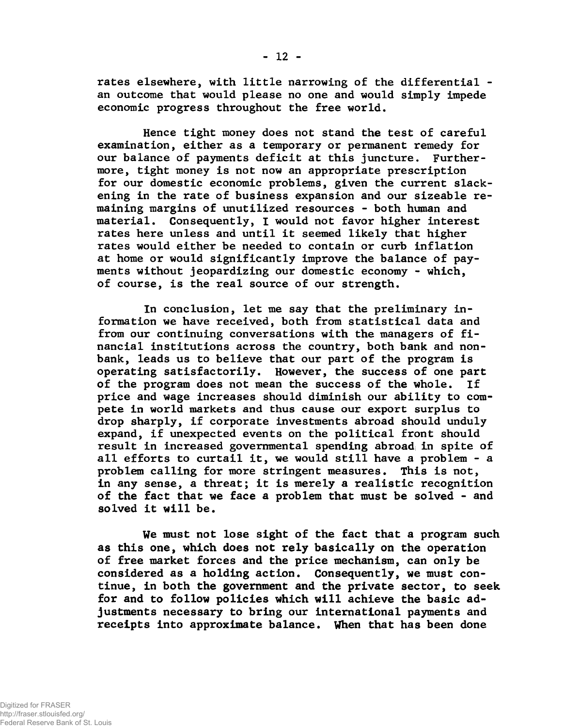**rates elsewhere, with little narrowing of the differential an outcome that would please no one and would simply impede economic progress throughout the free world.**

**Hence tight money does not stand the test of careful examination, either as a temporary or permanent remedy for our balance of payments deficit at this juncture. Furthermore, tight money is not now an appropriate prescription for our domestic economic problems, given the current slackening in the rate of business expansion and our sizeable remaining margins of unutilized resources - both human and material. Consequently, I would not favor higher interest rates here unless and until it seemed likely that higher rates would either be needed to contain or curb inflation at home or would significantly improve the balance of payments without jeopardizing our domestic economy - which, of course, is the real source of our strength.**

**In conclusion, let me say that the preliminary information we have received, both from statistical data and from our continuing conversations with the managers of financial institutions across the country, both bank and nonbank, leads us to believe that our part of the program is operating satisfactorily. However, the success of one part of the program does not mean the success of the whole. If price and wage increases should diminish our ability to compete in world markets and thus cause our export surplus to drop sharply, if corporate investments abroad should unduly expand, if unexpected events on the political front should result in increased governmental spending abroad; in spite of all efforts to curtail it, we would still have a problem - a problem calling for more stringent measures. This is not, in any sense, a threat; it is merely a realistic recognition of the fact that we face a problem that must be solved - and solved it will be.**

**We must not lose sight of the fact that a program such as this one, which does not rely basically on the operation of free market forces and the price mechanism, can only be considered as a holding action. Consequently, we must continue, in both the government and the private sector, to seek for and to follow policies which will achieve the basic adjustments necessary to bring our international payments and receipts into approximate balance. When that has been done**